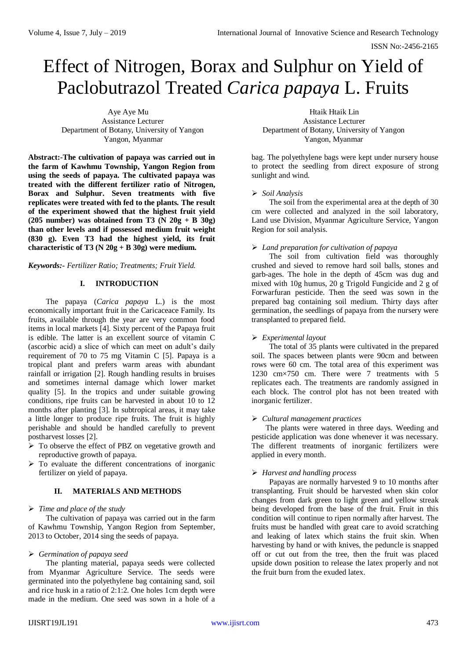ISSN No:-2456-2165

# Effect of Nitrogen, Borax and Sulphur on Yield of Paclobutrazol Treated *Carica papaya* L. Fruits

Aye Aye Mu **Htaik Htaik Lin** Assistance Lecturer Assistance Lecturer Department of Botany, University of Yangon Department of Botany, University of Yangon Yangon, Myanmar Yangon, Myanmar

**Abstract:-The cultivation of papaya was carried out in the farm of Kawhmu Township, Yangon Region from using the seeds of papaya. The cultivated papaya was treated with the different fertilizer ratio of Nitrogen, Borax and Sulphur. Seven treatments with five replicates were treated with fed to the plants. The result of the experiment showed that the highest fruit yield (205 number) was obtained from T3 (N 20g + B 30g) than other levels and if possessed medium fruit weight (830 g). Even T3 had the highest yield, its fruit characteristic of T3 (N 20g + B 30g) were medium.** 

# *Keywords:- Fertilizer Ratio; Treatments; Fruit Yield.*

# **I. INTRODUCTION**

The papaya (*Carica papaya* L.) is the most economically important fruit in the Caricaceace Family. Its fruits, available through the year are very common food items in local markets [4]. Sixty percent of the Papaya fruit is edible. The latter is an excellent source of vitamin C (ascorbic acid) a slice of which can meet on adult's daily requirement of 70 to 75 mg Vitamin C [5]. Papaya is a tropical plant and prefers warm areas with abundant rainfall or irrigation [2]. Rough handling results in bruises and sometimes internal damage which lower market quality [5]. In the tropics and under suitable growing conditions, ripe fruits can be harvested in about 10 to 12 months after planting [3]. In subtropical areas, it may take a little longer to produce ripe fruits. The fruit is highly perishable and should be handled carefully to prevent postharvest losses [2].

- > To observe the effect of PBZ on vegetative growth and reproductive growth of papaya.
- $\triangleright$  To evaluate the different concentrations of inorganic fertilizer on yield of papaya.

# **II. MATERIALS AND METHODS**

# *Time and place of the study*

The cultivation of papaya was carried out in the farm of Kawhmu Township, Yangon Region from September, 2013 to October, 2014 sing the seeds of papaya.

# *Germination of papaya seed*

The planting material, papaya seeds were collected from Myanmar Agriculture Service. The seeds were germinated into the polyethylene bag containing sand, soil and rice husk in a ratio of 2:1:2. One holes 1cm depth were made in the medium. One seed was sown in a hole of a

bag. The polyethylene bags were kept under nursery house to protect the seedling from direct exposure of strong sunlight and wind.

# *Soil Analysis*

The soil from the experimental area at the depth of 30 cm were collected and analyzed in the soil laboratory, Land use Division, Myanmar Agriculture Service, Yangon Region for soil analysis.

# *Land preparation for cultivation of papaya*

The soil from cultivation field was thoroughly crushed and sieved to remove hard soil balls, stones and garb-ages. The hole in the depth of 45cm was dug and mixed with 10g humus, 20 g Trigold Fungicide and 2 g of Forwarfuran pesticide. Then the seed was sown in the prepared bag containing soil medium. Thirty days after germination, the seedlings of papaya from the nursery were transplanted to prepared field.

# *Experimental layout*

The total of 35 plants were cultivated in the prepared soil. The spaces between plants were 90cm and between rows were 60 cm. The total area of this experiment was 1230 cm×750 cm. There were 7 treatments with 5 replicates each. The treatments are randomly assigned in each block. The control plot has not been treated with inorganic fertilizer.

# *Cultural management practices*

The plants were watered in three days. Weeding and pesticide application was done whenever it was necessary. The different treatments of inorganic fertilizers were applied in every month.

# *Harvest and handling process*

Papayas are normally harvested 9 to 10 months after transplanting. Fruit should be harvested when skin color changes from dark green to light green and yellow streak being developed from the base of the fruit. Fruit in this condition will continue to ripen normally after harvest. The fruits must be handled with great care to avoid scratching and leaking of latex which stains the fruit skin. When harvesting by hand or with knives, the peduncle is snapped off or cut out from the tree, then the fruit was placed upside down position to release the latex properly and not the fruit burn from the exuded latex.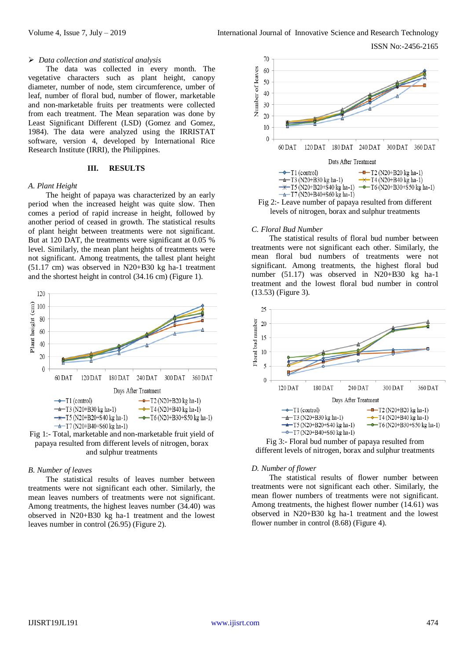#### *Data collection and statistical analysis*

The data was collected in every month. The vegetative characters such as plant height, canopy diameter, number of node, stem circumference, umber of leaf, number of floral bud, number of flower, marketable and non-marketable fruits per treatments were collected from each treatment. The Mean separation was done by Least Significant Different (LSD) (Gomez and Gomez, 1984). The data were analyzed using the IRRISTAT software, version 4, developed by International Rice Research Institute (IRRI), the Philippines.

# **III. RESULTS**

### *A. Plant Height*

The height of papaya was characterized by an early period when the increased height was quite slow. Then comes a period of rapid increase in height, followed by another period of ceased in growth. The statistical results of plant height between treatments were not significant. But at 120 DAT, the treatments were significant at 0.05 % level. Similarly, the mean plant heights of treatments were not significant. Among treatments, the tallest plant height (51.17 cm) was observed in N20+B30 kg ha-1 treatment and the shortest height in control (34.16 cm) (Figure 1).





## *B. Number of leaves*

The statistical results of leaves number between treatments were not significant each other. Similarly, the mean leaves numbers of treatments were not significant. Among treatments, the highest leaves number (34.40) was observed in N20+B30 kg ha-1 treatment and the lowest leaves number in control (26.95) (Figure 2).



#### *C. Floral Bud Number*

The statistical results of floral bud number between treatments were not significant each other. Similarly, the mean floral bud numbers of treatments were not significant. Among treatments, the highest floral bud number (51.17) was observed in N20+B30 kg ha-1 treatment and the lowest floral bud number in control (13.53) (Figure 3).



Fig 3:- Floral bud number of papaya resulted from different levels of nitrogen, borax and sulphur treatments

#### *D. Number of flower*

The statistical results of flower number between treatments were not significant each other. Similarly, the mean flower numbers of treatments were not significant. Among treatments, the highest flower number (14.61) was observed in N20+B30 kg ha-1 treatment and the lowest flower number in control (8.68) (Figure 4).